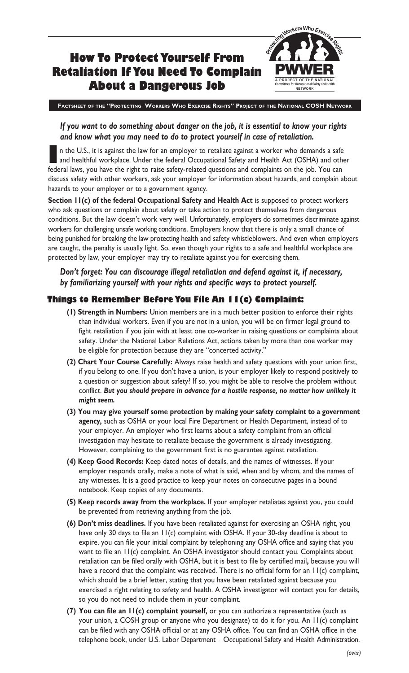#### **How To Protect Yourself From Retaliation If You Need To Complain About a Dangerous Job** Workers Who Exer **Committees for Occupational Safety and Health A PROJECT OF THE NATIONAL NETWORK PWWER**

**FACTSHEET OF THE "PROTECTING WORKERS WHO EXERCISE RIGHTS" PROJECT OF THE NATIONAL COSH NETWORK**

## *If you want to do something about danger on the job, it is essential to know your rights and know what you may need to do to protect yourself in case of retaliation.*

**I** n the U.S., it is against the law for an employer to retaliate against a worker who demands a safe and healthful workplace. Under the federal Occupational Safety and Health Act (OSHA) and other federal laws, you have the right to raise safety-related questions and complaints on the job. You can discuss safety with other workers, ask your employer for information about hazards, and complain about hazards to your employer or to a government agency.

**Section 11(c) of the federal Occupational Safety and Health Act** is supposed to protect workers who ask questions or complain about safety or take action to protect themselves from dangerous conditions. But the law doesn't work very well. Unfortunately, employers do sometimes discriminate against workers for challenging unsafe working conditions. Employers know that there is only a small chance of being punished for breaking the law protecting health and safety whistleblowers. And even when employers are caught, the penalty is usually light. So, even though your rights to a safe and healthful workplace are protected by law, your employer may try to retaliate against you for exercising them.

## *Don't forget: You can discourage illegal retaliation and defend against it, if necessary, by familiarizing yourself with your rights and specific ways to protect yourself.*

# **Things to Remember Before You File An 11(c) Complaint:**

- **(1) Strength in Numbers:** Union members are in a much better position to enforce their rights than individual workers. Even if you are not in a union, you will be on firmer legal ground to fight retaliation if you join with at least one co-worker in raising questions or complaints about safety. Under the National Labor Relations Act, actions taken by more than one worker may be eligible for protection because they are "concerted activity."
- **(2) Chart Your Course Carefully:** Always raise health and safety questions with your union first, if you belong to one. If you don't have a union, is your employer likely to respond positively to a question or suggestion about safety? If so, you might be able to resolve the problem without conflict. *But you should prepare in advance for a hostile response, no matter how unlikely it might seem.*
- **(3) You may give yourself some protection by making your safety complaint to a government agency,** such as OSHA or your local Fire Department or Health Department, instead of to your employer. An employer who first learns about a safety complaint from an official investigation may hesitate to retaliate because the government is already investigating. However, complaining to the government first is no guarantee against retaliation.
- **(4) Keep Good Records:** Keep dated notes of details, and the names of witnesses. If your employer responds orally, make a note of what is said, when and by whom, and the names of any witnesses. It is a good practice to keep your notes on consecutive pages in a bound notebook. Keep copies of any documents.
- **(5) Keep records away from the workplace.** If your employer retaliates against you, you could be prevented from retrieving anything from the job.
- **(6) Don't miss deadlines.** If you have been retaliated against for exercising an OSHA right, you have only 30 days to file an II(c) complaint with OSHA. If your 30-day deadline is about to expire, you can file your initial complaint by telephoning any OSHA office and saying that you want to file an 11(c) complaint. An OSHA investigator should contact you. Complaints about retaliation can be filed orally with OSHA, but it is best to file by certified mail**,** because you will have a record that the complaint was received. There is no official form for an II(c) complaint, which should be a brief letter, stating that you have been retaliated against because you exercised a right relating to safety and health. A OSHA investigator will contact you for details, so you do not need to include them in your complaint.
- **(7) You can file an 11(c) complaint yourself,** or you can authorize a representative (such as your union, a COSH group or anyone who you designate) to do it for you. An 11(c) complaint can be filed with any OSHA official or at any OSHA office. You can find an OSHA office in the telephone book, under U.S. Labor Department – Occupational Safety and Health Administration.